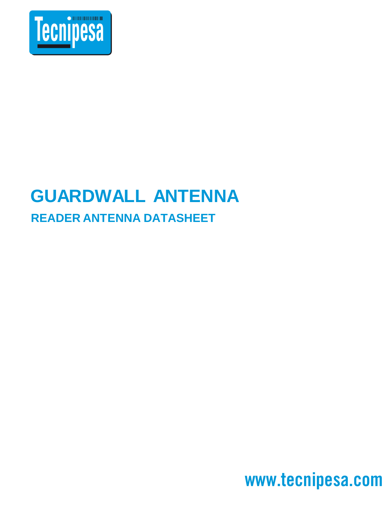

## **GUARDWALL ANTENNA READER ANTENNA DATASHEET**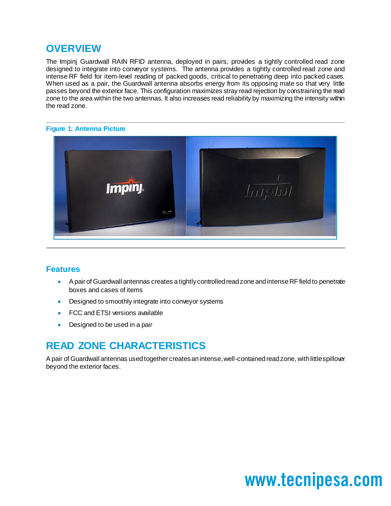## **OVERVIEW**

The Impinj Guardwall RAIN RFID antenna, deployed in pairs, provides a tightly controlled read zone designed to integrate into conveyor systems. The antenna provides a tightly controlled read zone and intense RF field for item-level reading of packed goods, critical to penetrating deep into packed cases. When used as a pair, the Guardwall antenna absorbs energy from its opposing mate so that very little passes beyond the exterior face. This configuration maximizes stray read rejection by constraining the read zone to the area within the two antennas. It also increases read reliability by maximizing the intensity within the read zone.

### **Figure 1: Antenna Picture**



### **Features**

- A pair of Guardwall antennas creates a tightly controlled read zone and intense RF field to penetrate boxes and cases of items
- Designed to smoothly integrate into conveyor systems
- FCC and ETSI versions available
- Designed to be used in a pair

## **READ ZONE CHARACTERISTICS**

A pair of Guardwall antennas used together creates an intense, well-contained read zone, with little spillover beyond the exterior faces.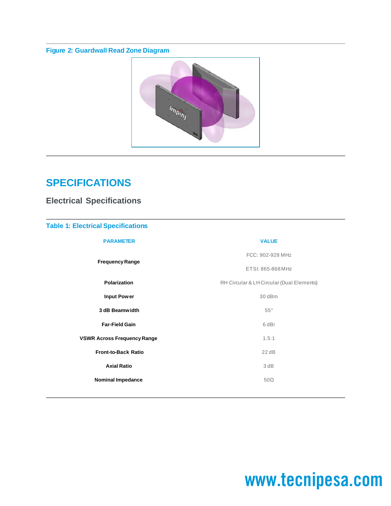### **Figure 2: Guardwall Read Zone Diagram**



## **SPECIFICATIONS**

### **Electrical Specifications**

### **Table 1: Electrical Specifications**

| <b>PARAMETER</b>                   | <b>VALUE</b>                              |
|------------------------------------|-------------------------------------------|
| <b>Frequency Range</b>             | FCC: 902-928 MHz                          |
|                                    | ETSI: 865-868 MHz                         |
| Polarization                       | RH Circular & LH Circular (Dual Elements) |
| <b>Input Power</b>                 | 30 dBm                                    |
| 3 dB Beamwidth                     | $55^{\circ}$                              |
| <b>Far-Field Gain</b>              | 6 dBi                                     |
| <b>VSWR Across Frequency Range</b> | 1.5:1                                     |
| <b>Front-to-Back Ratio</b>         | 22 dB                                     |
| <b>Axial Ratio</b>                 | 3 dB                                      |
| <b>Nominal Impedance</b>           | $50\Omega$                                |
|                                    |                                           |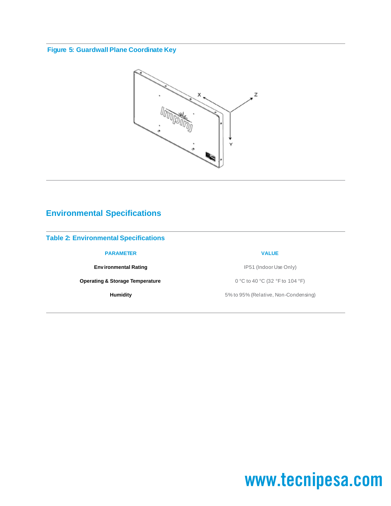### **Figure 5: Guardwall Plane Coordinate Key**



### **Environmental Specifications**

#### **Table 2: Environmental Specifications**

#### **PARAMETER VALUE**

**Operating & Storage Temperature** 0 °C to 40 °C (32 °F to 104 °F)

**Environmental Rating IP51** (Indoor Use Only)

**Humidity** 5% to 95% (Relative, Non-Condensing)